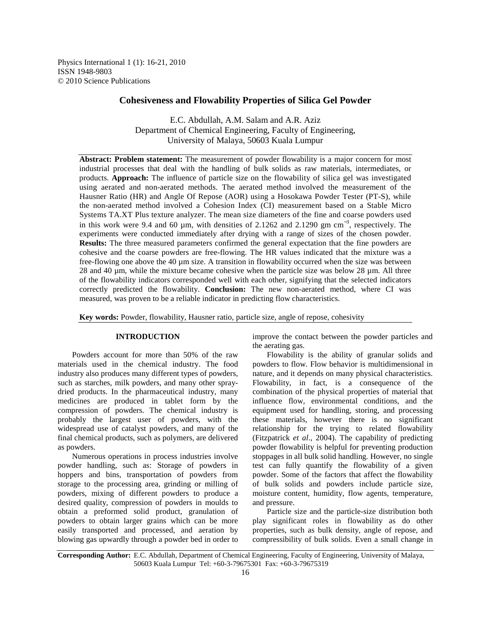Physics International 1 (1): 16-21, 2010 ISSN 1948-9803 © 2010 Science Publications

# **Cohesiveness and Flowability Properties of Silica Gel Powder**

E.C. Abdullah, A.M. Salam and A.R. Aziz Department of Chemical Engineering, Faculty of Engineering, University of Malaya, 50603 Kuala Lumpur

**Abstract: Problem statement:** The measurement of powder flowability is a major concern for most industrial processes that deal with the handling of bulk solids as raw materials, intermediates, or products. **Approach:** The influence of particle size on the flowability of silica gel was investigated using aerated and non-aerated methods. The aerated method involved the measurement of the Hausner Ratio (HR) and Angle Of Repose (AOR) using a Hosokawa Powder Tester (PT-S), while the non-aerated method involved a Cohesion Index (CI) measurement based on a Stable Micro Systems TA.XT Plus texture analyzer. The mean size diameters of the fine and coarse powders used in this work were 9.4 and 60 µm, with densities of 2.1262 and 2.1290 gm  $cm^{-3}$ , respectively. The experiments were conducted immediately after drying with a range of sizes of the chosen powder. **Results:** The three measured parameters confirmed the general expectation that the fine powders are cohesive and the coarse powders are free-flowing. The HR values indicated that the mixture was a free-flowing one above the 40 µm size. A transition in flowability occurred when the size was between 28 and 40 µm, while the mixture became cohesive when the particle size was below 28 µm. All three of the flowability indicators corresponded well with each other, signifying that the selected indicators correctly predicted the flowability. **Conclusion:** The new non-aerated method, where CI was measured, was proven to be a reliable indicator in predicting flow characteristics.

**Key words:** Powder, flowability, Hausner ratio, particle size, angle of repose, cohesivity

# **INTRODUCTION**

 Powders account for more than 50% of the raw materials used in the chemical industry. The food industry also produces many different types of powders, such as starches, milk powders, and many other spraydried products. In the pharmaceutical industry, many medicines are produced in tablet form by the compression of powders. The chemical industry is probably the largest user of powders, with the widespread use of catalyst powders, and many of the final chemical products, such as polymers, are delivered as powders.

 Numerous operations in process industries involve powder handling, such as: Storage of powders in hoppers and bins, transportation of powders from storage to the processing area, grinding or milling of powders, mixing of different powders to produce a desired quality, compression of powders in moulds to obtain a preformed solid product, granulation of powders to obtain larger grains which can be more easily transported and processed, and aeration by blowing gas upwardly through a powder bed in order to

improve the contact between the powder particles and the aerating gas.

 Flowability is the ability of granular solids and powders to flow. Flow behavior is multidimensional in nature, and it depends on many physical characteristics. Flowability, in fact, is a consequence of the combination of the physical properties of material that influence flow, environmental conditions, and the equipment used for handling, storing, and processing these materials, however there is no significant relationship for the trying to related flowability (Fitzpatrick *et al*., 2004). The capability of predicting powder flowability is helpful for preventing production stoppages in all bulk solid handling. However, no single test can fully quantify the flowability of a given powder. Some of the factors that affect the flowability of bulk solids and powders include particle size, moisture content, humidity, flow agents, temperature, and pressure.

 Particle size and the particle-size distribution both play significant roles in flowability as do other properties, such as bulk density, angle of repose, and compressibility of bulk solids. Even a small change in

**Corresponding Author:** E.C. Abdullah, Department of Chemical Engineering, Faculty of Engineering, University of Malaya, 50603 Kuala Lumpur Tel: +60-3-79675301 Fax: +60-3-79675319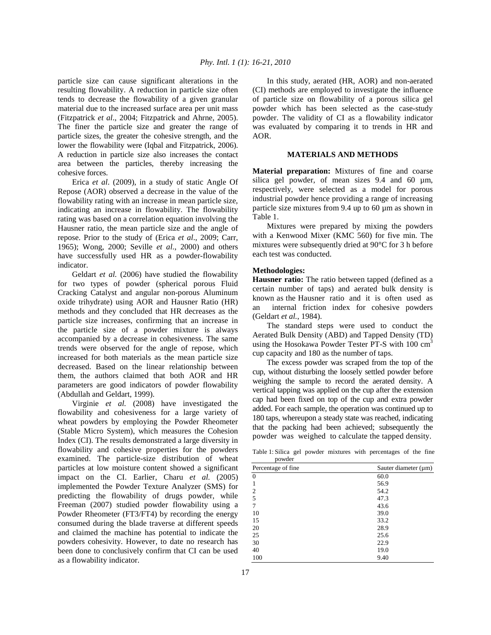particle size can cause significant alterations in the resulting flowability. A reduction in particle size often tends to decrease the flowability of a given granular material due to the increased surface area per unit mass (Fitzpatrick *et al*., 2004; Fitzpatrick and Ahrne, 2005). The finer the particle size and greater the range of particle sizes, the greater the cohesive strength, and the lower the flowability were (Iqbal and Fitzpatrick, 2006). A reduction in particle size also increases the contact area between the particles, thereby increasing the cohesive forces.

 Erica *et al*. (2009), in a study of static Angle Of Repose (AOR) observed a decrease in the value of the flowability rating with an increase in mean particle size, indicating an increase in flowability. The flowability rating was based on a correlation equation involving the Hausner ratio, the mean particle size and the angle of repose. Prior to the study of (Erica *et al*., 2009; Carr, 1965); Wong, 2000; Seville *et al*., 2000) and others have successfully used HR as a powder-flowability indicator.

 Geldart *et al.* (2006) have studied the flowability for two types of powder (spherical porous Fluid Cracking Catalyst and angular non-porous Aluminum oxide trihydrate) using AOR and Hausner Ratio (HR) methods and they concluded that HR decreases as the particle size increases, confirming that an increase in the particle size of a powder mixture is always accompanied by a decrease in cohesiveness. The same trends were observed for the angle of repose, which increased for both materials as the mean particle size decreased. Based on the linear relationship between them, the authors claimed that both AOR and HR parameters are good indicators of powder flowability (Abdullah and Geldart, 1999).

 Virginie *et al.* (2008) have investigated the flowability and cohesiveness for a large variety of wheat powders by employing the Powder Rheometer (Stable Micro System), which measures the Cohesion Index (CI). The results demonstrated a large diversity in flowability and cohesive properties for the powders examined. The particle-size distribution of wheat particles at low moisture content showed a significant impact on the CI. Earlier, Charu *et al.* (2005) implemented the Powder Texture Analyzer (SMS) for predicting the flowability of drugs powder, while Freeman (2007) studied powder flowability using a Powder Rheometer (FT3/FT4) by recording the energy consumed during the blade traverse at different speeds and claimed the machine has potential to indicate the powders cohesivity. However, to date no research has been done to conclusively confirm that CI can be used as a flowability indicator.

 In this study, aerated (HR, AOR) and non-aerated (CI) methods are employed to investigate the influence of particle size on flowability of a porous silica gel powder which has been selected as the case-study powder. The validity of CI as a flowability indicator was evaluated by comparing it to trends in HR and AOR.

# **MATERIALS AND METHODS**

**Material preparation:** Mixtures of fine and coarse silica gel powder, of mean sizes 9.4 and 60  $\mu$ m, respectively, were selected as a model for porous industrial powder hence providing a range of increasing particle size mixtures from 9.4 up to 60 µm as shown in Table 1.

 Mixtures were prepared by mixing the powders with a Kenwood Mixer (KMC 560) for five min. The mixtures were subsequently dried at 90°C for 3 h before each test was conducted.

#### **Methodologies:**

**Hausner ratio:** The ratio between tapped (defined as a certain number of taps) and aerated bulk density is known as the Hausner ratio and it is often used as an internal friction index for cohesive powders (Geldart *et al.*, 1984).

 The standard steps were used to conduct the Aerated Bulk Density (ABD) and Tapped Density (TD) using the Hosokawa Powder Tester PT-S with 100 cm<sup>3</sup> cup capacity and 180 as the number of taps.

 The excess powder was scraped from the top of the cup, without disturbing the loosely settled powder before weighing the sample to record the aerated density. A vertical tapping was applied on the cup after the extension cap had been fixed on top of the cup and extra powder added. For each sample, the operation was continued up to 180 taps, whereupon a steady state was reached, indicating that the packing had been achieved; subsequently the powder was weighed to calculate the tapped density.

Table 1: Silica gel powder mixtures with percentages of the fine powder

| Percentage of fine | Sauter diameter $(\mu m)$ |
|--------------------|---------------------------|
| $\theta$           | 60.0                      |
|                    | 56.9                      |
| $\overline{2}$     | 54.2                      |
| 5                  | 47.3                      |
| 7                  | 43.6                      |
| 10                 | 39.0                      |
| 15                 | 33.2                      |
| 20                 | 28.9                      |
| 25                 | 25.6                      |
| 30                 | 22.9                      |
| 40                 | 19.0                      |
| 100                | 9.40                      |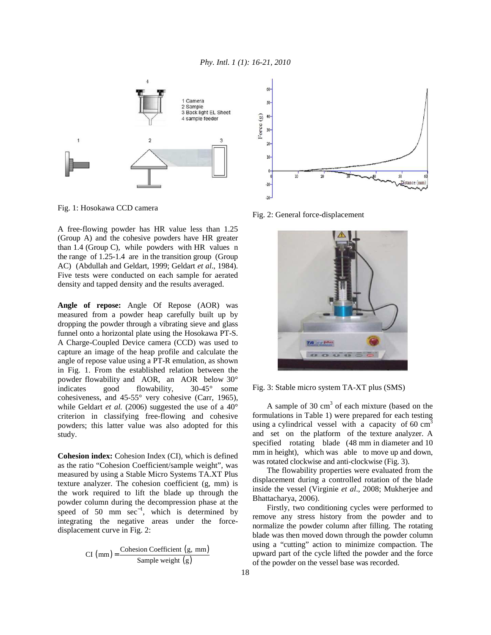

Fig. 1: Hosokawa CCD camera

A free-flowing powder has HR value less than 1.25 (Group A) and the cohesive powders have HR greater than 1.4 (Group C), while powders with HR values n the range of 1.25-1.4 are in the transition group (Group AC) (Abdullah and Geldart, 1999; Geldart *et al*., 1984). Five tests were conducted on each sample for aerated density and tapped density and the results averaged.

**Angle of repose:** Angle Of Repose (AOR) was measured from a powder heap carefully built up by dropping the powder through a vibrating sieve and glass funnel onto a horizontal plate using the Hosokawa PT-S. A Charge-Coupled Device camera (CCD) was used to capture an image of the heap profile and calculate the angle of repose value using a PT-R emulation, as shown in Fig. 1. From the established relation between the powder flowability and AOR, an AOR below 30° indicates good flowability, 30-45° some cohesiveness, and 45-55° very cohesive (Carr, 1965), while Geldart *et al.* (2006) suggested the use of a 40° criterion in classifying free-flowing and cohesive powders; this latter value was also adopted for this study.

**Cohesion index:** Cohesion Index (CI), which is defined as the ratio "Cohesion Coefficient/sample weight", was measured by using a Stable Micro Systems TA.XT Plus texture analyzer. The cohesion coefficient (g, mm) is the work required to lift the blade up through the powder column during the decompression phase at the speed of 50 mm  $sec^{-1}$ , which is determined by integrating the negative areas under the forcedisplacement curve in Fig. 2:

$$
CI (mm) = \frac{Cohesion Coefficient (g, mm)}{Sample weight (g)}
$$



Fig. 2: General force-displacement



Fig. 3: Stable micro system TA-XT plus (SMS)

A sample of 30  $\text{cm}^3$  of each mixture (based on the formulations in Table 1) were prepared for each testing using a cylindrical vessel with a capacity of  $60 \text{ cm}^3$ and set on the platform of the texture analyzer. A specified rotating blade (48 mm in diameter and 10 mm in height), which was able to move up and down, was rotated clockwise and anti-clockwise (Fig. 3).

 The flowability properties were evaluated from the displacement during a controlled rotation of the blade inside the vessel (Virginie *et al*., 2008; Mukherjee and Bhattacharya, 2006).

 Firstly, two conditioning cycles were performed to remove any stress history from the powder and to normalize the powder column after filling. The rotating blade was then moved down through the powder column using a "cutting" action to minimize compaction. The upward part of the cycle lifted the powder and the force of the powder on the vessel base was recorded.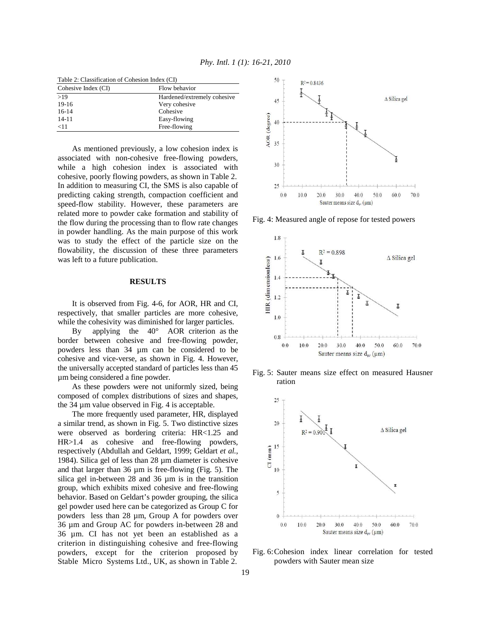| Table 2: Classification of Cohesion Index (CI) |                             |
|------------------------------------------------|-----------------------------|
| Cohesive Index (CI)                            | Flow behavior               |
| >19                                            | Hardened/extremely cohesive |
| $19-16$                                        | Very cohesive               |
| $16-14$                                        | Cohesive                    |
| $14 - 11$                                      | Easy-flowing                |
| $<$ 11                                         | Free-flowing                |

 As mentioned previously, a low cohesion index is associated with non-cohesive free-flowing powders, while a high cohesion index is associated with cohesive, poorly flowing powders, as shown in Table 2. In addition to measuring CI, the SMS is also capable of predicting caking strength, compaction coefficient and speed-flow stability. However, these parameters are related more to powder cake formation and stability of the flow during the processing than to flow rate changes in powder handling. As the main purpose of this work was to study the effect of the particle size on the flowability, the discussion of these three parameters was left to a future publication.

# **RESULTS**

 It is observed from Fig. 4-6, for AOR, HR and CI, respectively, that smaller particles are more cohesive, while the cohesivity was diminished for larger particles.

 By applying the 40° AOR criterion as the border between cohesive and free-flowing powder, powders less than 34 µm can be considered to be cohesive and vice-verse, as shown in Fig. 4. However, the universally accepted standard of particles less than 45 µm being considered a fine powder.

 As these powders were not uniformly sized, being composed of complex distributions of sizes and shapes, the 34 µm value observed in Fig. 4 is acceptable.

 The more frequently used parameter, HR, displayed a similar trend, as shown in Fig. 5. Two distinctive sizes were observed as bordering criteria: HR<1.25 and HR>1.4 as cohesive and free-flowing powders, respectively (Abdullah and Geldart, 1999; Geldart *et al.*, 1984). Silica gel of less than 28 µm diameter is cohesive and that larger than 36 µm is free-flowing (Fig. 5). The silica gel in-between 28 and 36  $\mu$ m is in the transition group, which exhibits mixed cohesive and free-flowing behavior. Based on Geldart's powder grouping, the silica gel powder used here can be categorized as Group C for powders less than 28 µm, Group A for powders over 36 µm and Group AC for powders in-between 28 and 36 µm. CI has not yet been an established as a criterion in distinguishing cohesive and free-flowing powders, except for the criterion proposed by Stable Micro Systems Ltd., UK, as shown in Table 2.



Fig. 4: Measured angle of repose for tested powers



Fig. 5: Sauter means size effect on measured Hausner ration



Fig. 6: Cohesion index linear correlation for tested powders with Sauter mean size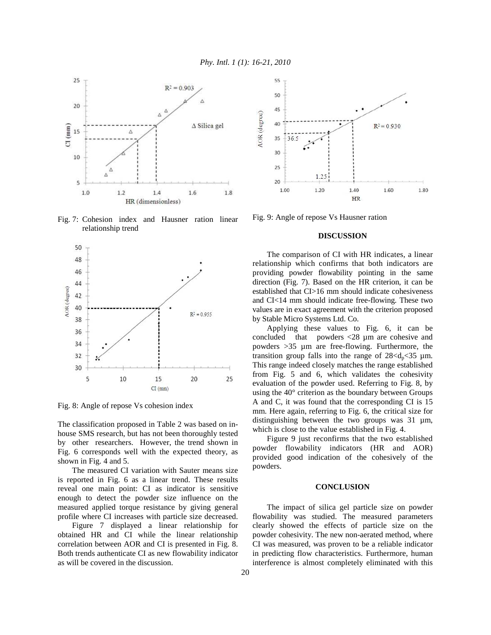

Fig. 7: Cohesion index and Hausner ration linear relationship trend



Fig. 8: Angle of repose Vs cohesion index

The classification proposed in Table 2 was based on inhouse SMS research, but has not been thoroughly tested by other researchers. However, the trend shown in Fig. 6 corresponds well with the expected theory, as shown in Fig. 4 and 5.

 The measured CI variation with Sauter means size is reported in Fig. 6 as a linear trend. These results reveal one main point: CI as indicator is sensitive enough to detect the powder size influence on the measured applied torque resistance by giving general profile where CI increases with particle size decreased.

 Figure 7 displayed a linear relationship for obtained HR and CI while the linear relationship correlation between AOR and CI is presented in Fig. 8. Both trends authenticate CI as new flowability indicator as will be covered in the discussion.



Fig. 9: Angle of repose Vs Hausner ration

### **DISCUSSION**

 The comparison of CI with HR indicates, a linear relationship which confirms that both indicators are providing powder flowability pointing in the same direction (Fig. 7). Based on the HR criterion, it can be established that CI>16 mm should indicate cohesiveness and CI<14 mm should indicate free-flowing. These two values are in exact agreement with the criterion proposed by Stable Micro Systems Ltd. Co.

 Applying these values to Fig. 6, it can be concluded that powders <28 µm are cohesive and powders >35 µm are free-flowing. Furthermore, the transition group falls into the range of  $28 < d_p < 35 \mu m$ . This range indeed closely matches the range established from Fig. 5 and 6, which validates the cohesivity evaluation of the powder used. Referring to Fig. 8, by using the 40° criterion as the boundary between Groups A and C, it was found that the corresponding CI is 15 mm. Here again, referring to Fig. 6, the critical size for distinguishing between the two groups was 31 µm, which is close to the value established in Fig. 4.

 Figure 9 just reconfirms that the two established powder flowability indicators (HR and AOR) provided good indication of the cohesively of the powders.

## **CONCLUSION**

 The impact of silica gel particle size on powder flowability was studied. The measured parameters clearly showed the effects of particle size on the powder cohesivity. The new non-aerated method, where CI was measured, was proven to be a reliable indicator in predicting flow characteristics. Furthermore, human interference is almost completely eliminated with this